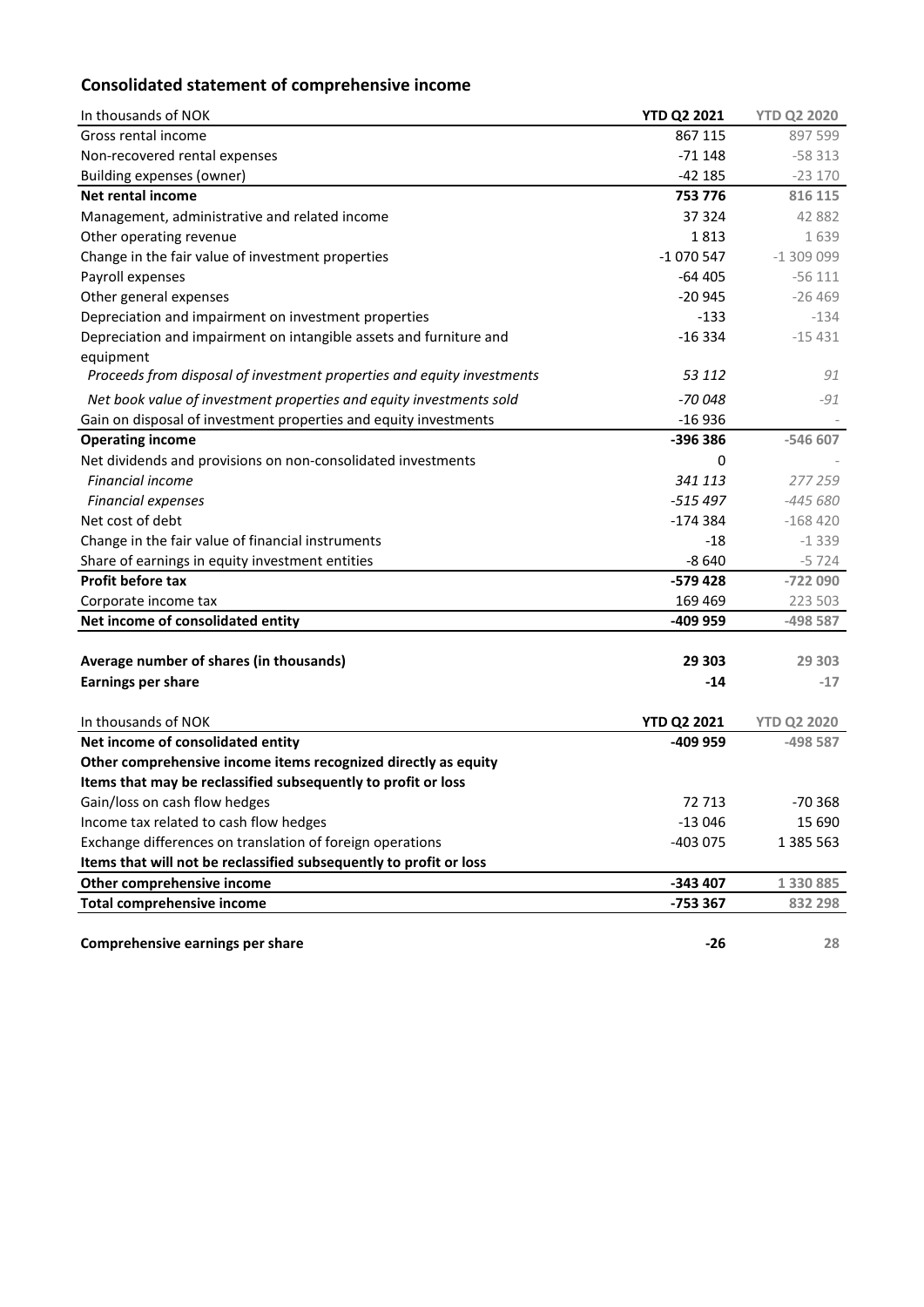# **Consolidated statement of comprehensive income**

| In thousands of NOK                                                    | <b>YTD Q2 2021</b> | <b>YTD Q2 2020</b> |
|------------------------------------------------------------------------|--------------------|--------------------|
| Gross rental income                                                    | 867 115            | 897 599            |
| Non-recovered rental expenses                                          | $-71148$           | $-58313$           |
| <b>Building expenses (owner)</b>                                       | $-42185$           | $-23170$           |
| <b>Net rental income</b>                                               | 753 776            | 816 115            |
| Management, administrative and related income                          | 37 324             | 42 882             |
| Other operating revenue                                                | 1813               | 1639               |
| Change in the fair value of investment properties                      | $-1070547$         | $-1309099$         |
| Payroll expenses                                                       | $-64405$           | $-56111$           |
| Other general expenses                                                 | $-20945$           | $-26469$           |
| Depreciation and impairment on investment properties                   | $-133$             | $-134$             |
| Depreciation and impairment on intangible assets and furniture and     | $-16334$           | $-15431$           |
| equipment                                                              |                    |                    |
| Proceeds from disposal of investment properties and equity investments | 53 112             | 91                 |
| Net book value of investment properties and equity investments sold    | -70 048            | $-91$              |
| Gain on disposal of investment properties and equity investments       | $-16936$           |                    |
| <b>Operating income</b>                                                | -396 386           | -546 607           |
| Net dividends and provisions on non-consolidated investments           | 0                  |                    |
| <b>Financial income</b>                                                | 341 113            | 277 259            |
| <b>Financial expenses</b>                                              | $-515497$          | $-445680$          |
| Net cost of debt                                                       | $-174384$          | $-168420$          |
| Change in the fair value of financial instruments                      | $-18$              | $-1339$            |
| Share of earnings in equity investment entities                        | $-8640$            | $-5724$            |
| Profit before tax                                                      | $-579428$          | -722 090           |
| Corporate income tax                                                   | 169 469            | 223 503            |
| Net income of consolidated entity                                      | -409 959           | -498 587           |
|                                                                        |                    |                    |
| Average number of shares (in thousands)                                | 29 303             | 29 303             |
| <b>Earnings per share</b>                                              | $-14$              | $-17$              |
|                                                                        |                    |                    |
| In thousands of NOK                                                    | <b>YTD Q2 2021</b> | <b>YTD Q2 2020</b> |
| Net income of consolidated entity                                      | -409 959           | -498 587           |
| Other comprehensive income items recognized directly as equity         |                    |                    |
| Items that may be reclassified subsequently to profit or loss          |                    |                    |
| Gain/loss on cash flow hedges                                          | 72 713             | $-70.368$          |
| Income tax related to cash flow hedges                                 | $-13046$           | 15 690             |
| Exchange differences on translation of foreign operations              | -403 075           | 1 385 563          |
| Items that will not be reclassified subsequently to profit or loss     |                    |                    |
| Other comprehensive income                                             | -343 407           | 1 330 885          |
| <b>Total comprehensive income</b>                                      | -753 367           | 832 298            |
|                                                                        |                    |                    |
| Comprehensive earnings per share                                       | $-26$              | 28                 |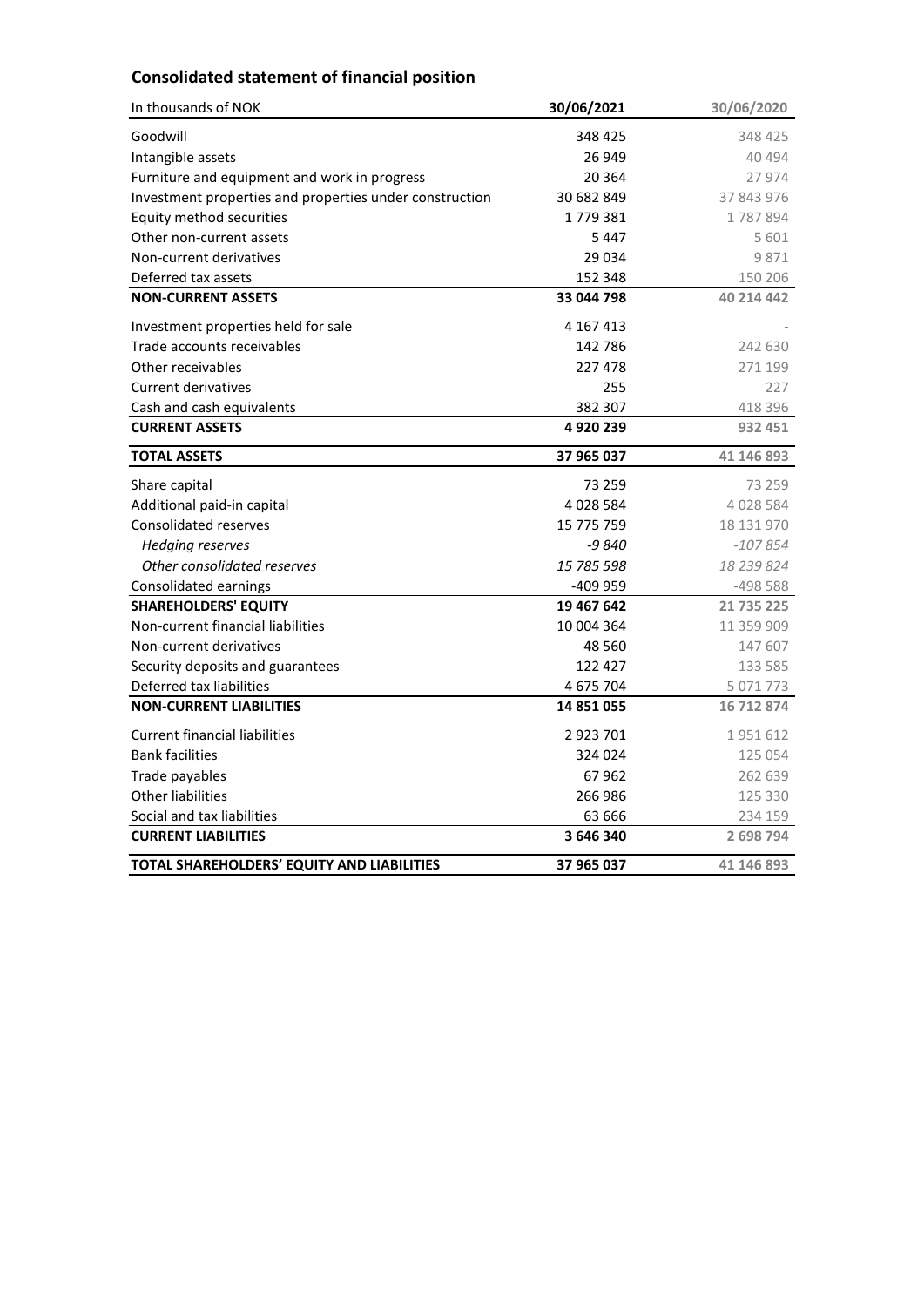### **Consolidated statement of financial position**

| In thousands of NOK                                     | 30/06/2021  | 30/06/2020 |
|---------------------------------------------------------|-------------|------------|
| Goodwill                                                | 348 425     | 348 425    |
| Intangible assets                                       | 26 949      | 40 494     |
| Furniture and equipment and work in progress            | 20 3 64     | 27 974     |
| Investment properties and properties under construction | 30 682 849  | 37 843 976 |
| Equity method securities                                | 1779381     | 1787894    |
| Other non-current assets                                | 5447        | 5 601      |
| Non-current derivatives                                 | 29 0 34     | 9871       |
| Deferred tax assets                                     | 152 348     | 150 206    |
| <b>NON-CURRENT ASSETS</b>                               | 33 044 798  | 40 214 442 |
| Investment properties held for sale                     | 4 167 413   |            |
| Trade accounts receivables                              | 142 786     | 242 630    |
| Other receivables                                       | 227478      | 271 199    |
| <b>Current derivatives</b>                              | 255         | 227        |
| Cash and cash equivalents                               | 382 307     | 418 396    |
| <b>CURRENT ASSETS</b>                                   | 4920239     | 932 451    |
| <b>TOTAL ASSETS</b>                                     | 37 965 037  | 41 146 893 |
| Share capital                                           | 73 259      | 73 259     |
| Additional paid-in capital                              | 4 0 28 5 84 | 4 028 584  |
| <b>Consolidated reserves</b>                            | 15 775 759  | 18 131 970 |
| <b>Hedging reserves</b>                                 | -9 840      | $-107854$  |
| Other consolidated reserves                             | 15 785 598  | 18 239 824 |
| Consolidated earnings                                   | -409 959    | -498 588   |
| <b>SHAREHOLDERS' EQUITY</b>                             | 19 467 642  | 21 735 225 |
| Non-current financial liabilities                       | 10 004 364  | 11 359 909 |
| Non-current derivatives                                 | 48 5 60     | 147 607    |
| Security deposits and guarantees                        | 122 427     | 133 585    |
| Deferred tax liabilities                                | 4 675 704   | 5 071 773  |
| <b>NON-CURRENT LIABILITIES</b>                          | 14 851 055  | 16 712 874 |
| <b>Current financial liabilities</b>                    | 2923701     | 1951612    |
| <b>Bank facilities</b>                                  | 324 024     | 125 054    |
| Trade payables                                          | 67962       | 262 639    |
| Other liabilities                                       | 266 986     | 125 330    |
| Social and tax liabilities                              | 63 666      | 234 159    |
| <b>CURRENT LIABILITIES</b>                              | 3 646 340   | 2 698 794  |
| TOTAL SHAREHOLDERS' EQUITY AND LIABILITIES              | 37 965 037  | 41 146 893 |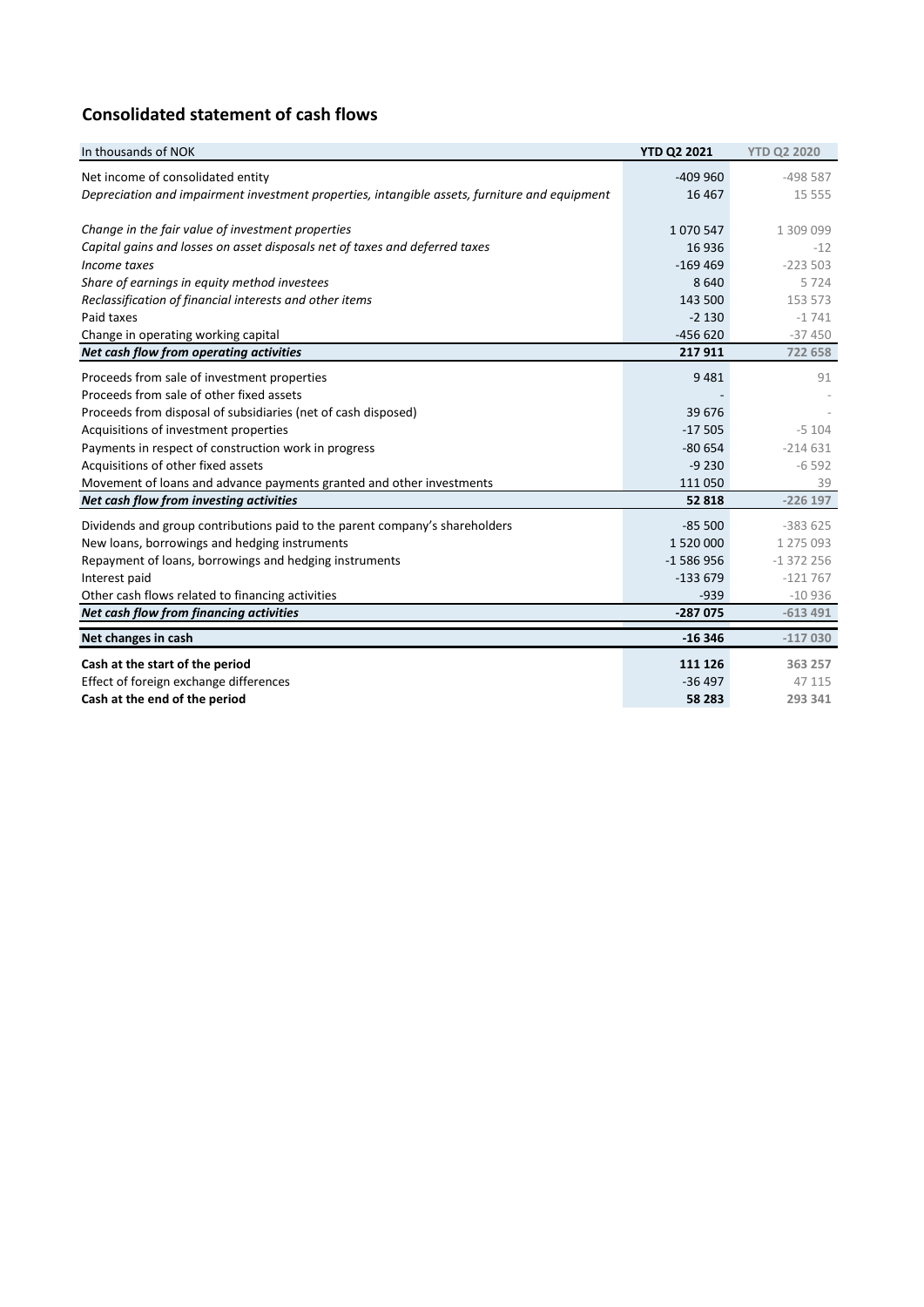## **Consolidated statement of cash flows**

| In thousands of NOK                                                                           | <b>YTD Q2 2021</b> | <b>YTD Q2 2020</b> |
|-----------------------------------------------------------------------------------------------|--------------------|--------------------|
| Net income of consolidated entity                                                             | $-409960$          | $-498587$          |
| Depreciation and impairment investment properties, intangible assets, furniture and equipment | 16 4 67            | 15 5 5 5           |
|                                                                                               |                    |                    |
| Change in the fair value of investment properties                                             | 1070547            | 1 309 099          |
| Capital gains and losses on asset disposals net of taxes and deferred taxes                   | 16 9 36            | $-12$              |
| Income taxes                                                                                  | $-169469$          | $-223503$          |
| Share of earnings in equity method investees                                                  | 8640               | 5724               |
| Reclassification of financial interests and other items                                       | 143 500            | 153 573            |
| Paid taxes                                                                                    | $-2130$            | $-1741$            |
| Change in operating working capital                                                           | $-456620$          | $-37450$           |
| Net cash flow from operating activities                                                       | 217911             | 722 658            |
| Proceeds from sale of investment properties                                                   | 9481               | 91                 |
| Proceeds from sale of other fixed assets                                                      |                    |                    |
| Proceeds from disposal of subsidiaries (net of cash disposed)                                 | 39 676             |                    |
| Acquisitions of investment properties                                                         | $-17505$           | $-5104$            |
| Payments in respect of construction work in progress                                          | $-80654$           | $-214631$          |
| Acquisitions of other fixed assets                                                            | $-9230$            | $-6592$            |
| Movement of loans and advance payments granted and other investments                          | 111 050            | 39                 |
| Net cash flow from investing activities                                                       | 52 818             | $-226$ 197         |
| Dividends and group contributions paid to the parent company's shareholders                   | $-85500$           | $-383625$          |
| New loans, borrowings and hedging instruments                                                 | 1 520 000          | 1 275 093          |
| Repayment of loans, borrowings and hedging instruments                                        | $-1586956$         | $-1372256$         |
| Interest paid                                                                                 | $-133679$          | $-121767$          |
| Other cash flows related to financing activities                                              | $-939$             | $-10936$           |
| Net cash flow from financing activities                                                       | $-287075$          | $-613491$          |
| Net changes in cash                                                                           | $-16346$           | $-117030$          |
| Cash at the start of the period                                                               | 111 126            | 363 257            |
| Effect of foreign exchange differences                                                        | $-36497$           | 47 115             |
| Cash at the end of the period                                                                 | 58 283             | 293 341            |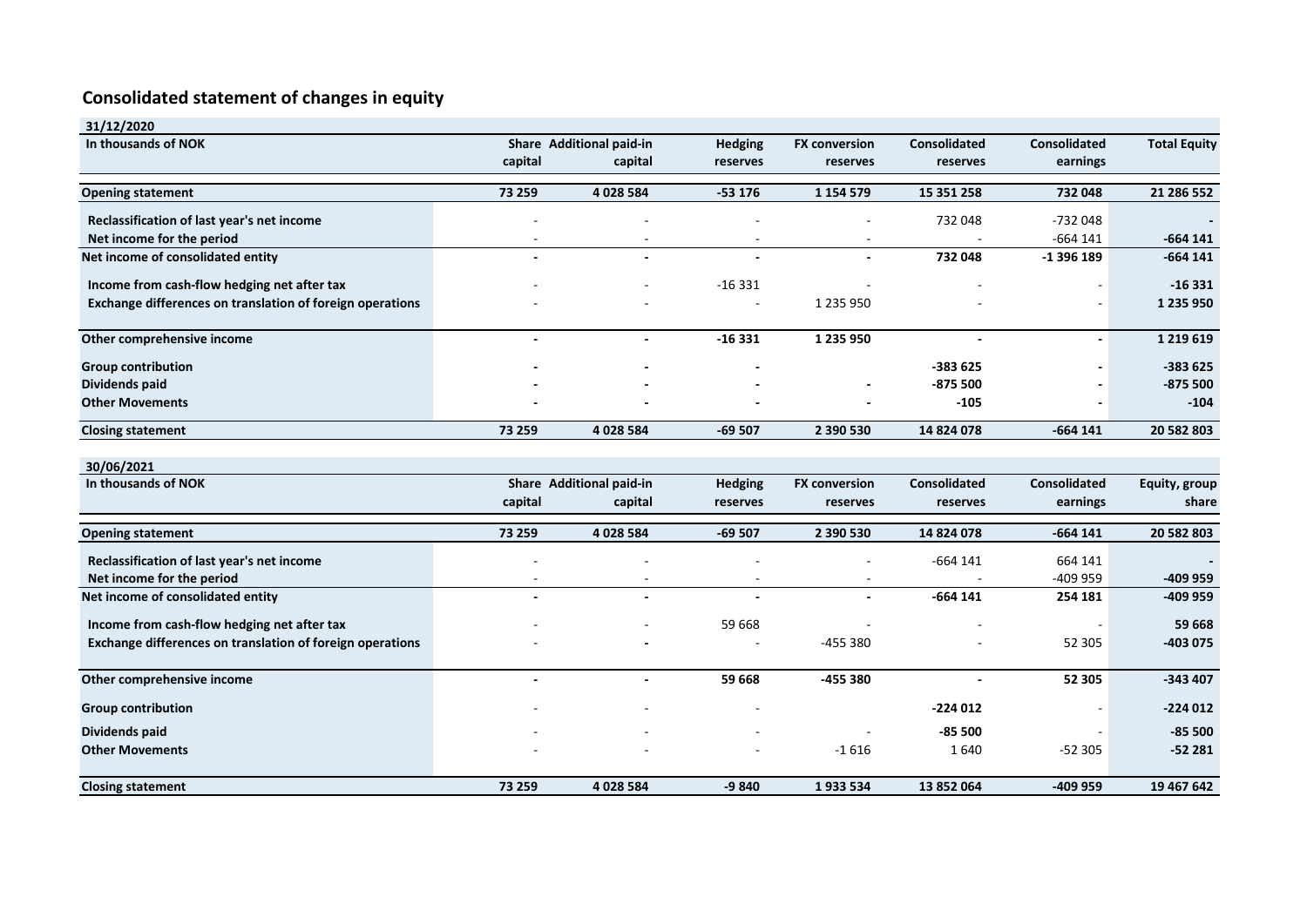# **Consolidated statement of changes in equity**

| 31/12/2020                                                |         |                          |                |                      |                     |                     |                     |
|-----------------------------------------------------------|---------|--------------------------|----------------|----------------------|---------------------|---------------------|---------------------|
| In thousands of NOK                                       |         | Share Additional paid-in | <b>Hedging</b> | <b>FX conversion</b> | Consolidated        | <b>Consolidated</b> | <b>Total Equity</b> |
|                                                           | capital | capital                  | reserves       | reserves             | reserves            | earnings            |                     |
| <b>Opening statement</b>                                  | 73 259  | 4 028 584                | $-53176$       | 1 1 5 4 5 7 9        | 15 351 258          | 732 048             | 21 286 552          |
| Reclassification of last year's net income                |         |                          |                |                      | 732 048             | $-732048$           |                     |
| Net income for the period                                 |         |                          |                |                      |                     | $-664$ 141          | $-664$ 141          |
| Net income of consolidated entity                         |         |                          |                |                      | 732 048             | -1 396 189          | $-664$ 141          |
| Income from cash-flow hedging net after tax               |         |                          | $-16331$       |                      |                     |                     | $-16331$            |
| Exchange differences on translation of foreign operations |         |                          |                | 1 2 3 5 9 5 0        |                     |                     | 1 235 950           |
| Other comprehensive income                                | $\sim$  | $\blacksquare$           | $-16331$       | 1 235 950            | $\sim$              |                     | 1 2 1 9 6 1 9       |
| <b>Group contribution</b>                                 |         |                          |                |                      | -383 625            |                     | $-383625$           |
| Dividends paid                                            |         |                          |                |                      | -875 500            |                     | $-875500$           |
| <b>Other Movements</b>                                    |         |                          |                |                      | $-105$              |                     | $-104$              |
| <b>Closing statement</b>                                  | 73 259  | 4 028 584                | $-69507$       | 2 390 530            | 14 824 078          | $-664$ 141          | 20 582 803          |
|                                                           |         |                          |                |                      |                     |                     |                     |
| 30/06/2021<br>In thousands of NOK                         |         | Share Additional paid-in | <b>Hedging</b> | <b>FX conversion</b> | <b>Consolidated</b> | <b>Consolidated</b> | Equity, group       |
|                                                           | capital | capital                  | reserves       | reserves             | reserves            | earnings            | share               |
|                                                           |         |                          |                |                      |                     |                     |                     |
| <b>Opening statement</b>                                  | 73 259  | 4 028 584                | $-69507$       | 2 390 530            | 14 824 078          | $-664$ 141          | 20 582 803          |
| Reclassification of last year's net income                |         |                          |                |                      | $-664$ 141          | 664 141             |                     |
| Net income for the period                                 |         |                          |                |                      |                     | $-409959$           | -409 959            |
| Net income of consolidated entity                         |         |                          |                |                      | $-664$ 141          | 254 181             | -409 959            |
| Income from cash-flow hedging net after tax               |         |                          | 59 668         |                      |                     |                     | 59 668              |
| Exchange differences on translation of foreign operations |         |                          |                | -455 380             |                     | 52 305              | $-403075$           |
| Other comprehensive income                                |         | $\overline{\phantom{a}}$ | 59 668         | -455 380             |                     | 52 305              | $-343407$           |
| <b>Group contribution</b>                                 |         |                          |                |                      | $-224012$           |                     | $-224012$           |
| Dividends paid                                            |         |                          |                |                      | -85 500             |                     | $-85500$            |
| <b>Other Movements</b>                                    |         |                          |                | $-1616$              | 1640                | $-52305$            | $-52281$            |
| <b>Closing statement</b>                                  | 73 259  | 4 028 584                | $-9840$        | 1933534              | 13 852 064          | -409 959            | 19 467 642          |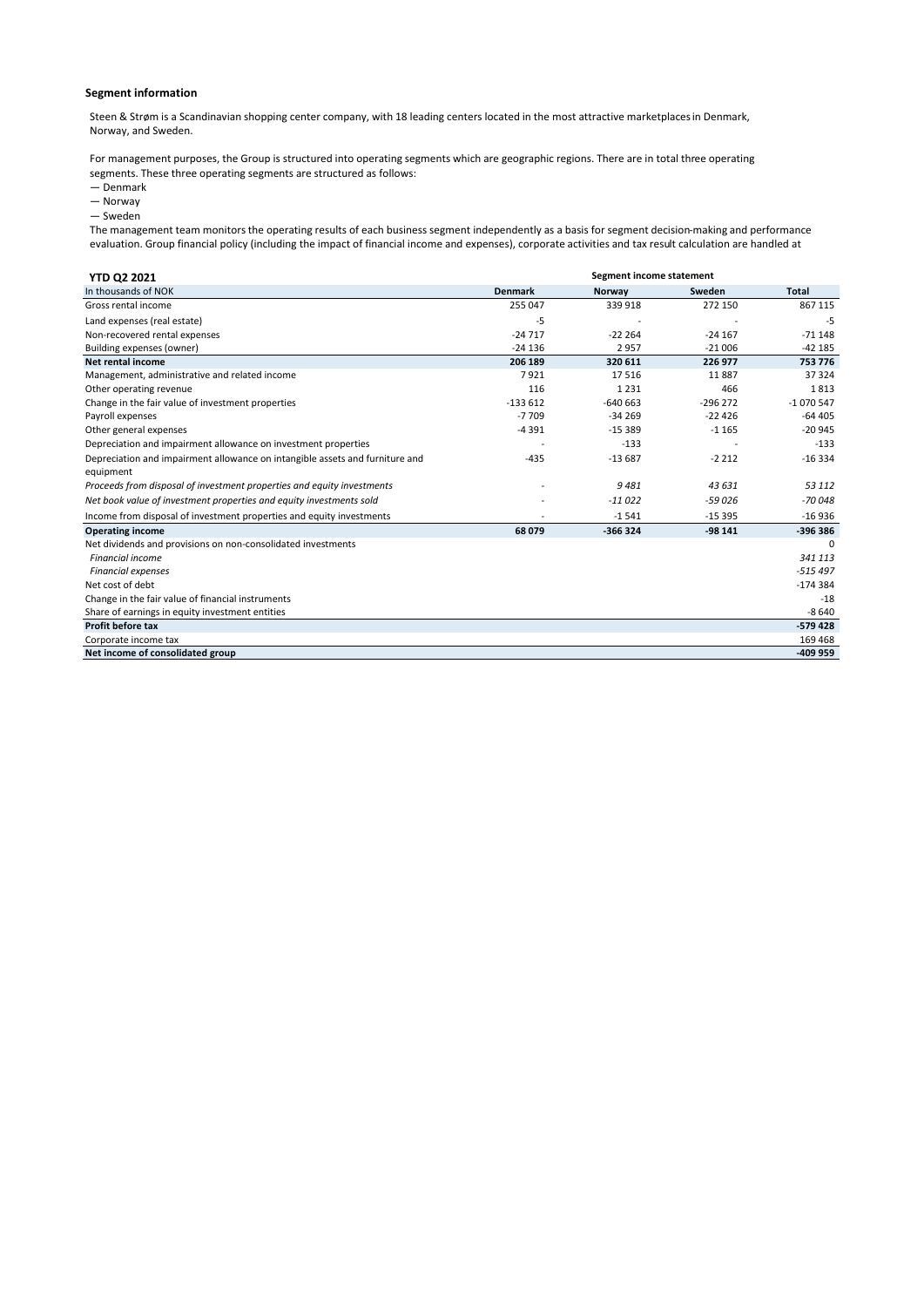#### **Segment information**

Steen & Strøm is a Scandinavian shopping center company, with 18 leading centers located in the most attractive marketplaces in Denmark, Norway, and Sweden.

For management purposes, the Group is structured into operating segments which are geographic regions. There are in total three operating segments. These three operating segments are structured as follows:

- Denmark
- Norway
- Sweden

The management team monitors the operating results of each business segment independently as a basis for segment decision-making and performance evaluation. Group financial policy (including the impact of financial income and expenses), corporate activities and tax result calculation are handled at

| <b>YTD Q2 2021</b>                                                           | Segment income statement |           |           |              |
|------------------------------------------------------------------------------|--------------------------|-----------|-----------|--------------|
| In thousands of NOK                                                          | <b>Denmark</b>           | Norway    | Sweden    | <b>Total</b> |
| Gross rental income                                                          | 255 047                  | 339 918   | 272 150   | 867 115      |
| Land expenses (real estate)                                                  | -5                       |           |           | -5           |
| Non-recovered rental expenses                                                | $-24717$                 | $-22264$  | $-24167$  | $-71148$     |
| Building expenses (owner)                                                    | $-24136$                 | 2957      | $-21006$  | $-42185$     |
| Net rental income                                                            | 206 189                  | 320 611   | 226 977   | 753 776      |
| Management, administrative and related income                                | 7921                     | 17516     | 11887     | 37 324       |
| Other operating revenue                                                      | 116                      | 1 2 3 1   | 466       | 1813         |
| Change in the fair value of investment properties                            | $-133612$                | $-640663$ | $-296272$ | $-1070547$   |
| Payroll expenses                                                             | $-7709$                  | $-34269$  | $-22426$  | $-64405$     |
| Other general expenses                                                       | $-4391$                  | $-15389$  | $-1165$   | $-20945$     |
| Depreciation and impairment allowance on investment properties               |                          | $-133$    |           | $-133$       |
| Depreciation and impairment allowance on intangible assets and furniture and | $-435$                   | $-13687$  | $-2212$   | $-16334$     |
| equipment                                                                    |                          |           |           |              |
| Proceeds from disposal of investment properties and equity investments       |                          | 9481      | 43 631    | 53 112       |
| Net book value of investment properties and equity investments sold          |                          | $-11022$  | $-59026$  | $-70048$     |
| Income from disposal of investment properties and equity investments         |                          | $-1.541$  | $-15395$  | $-16936$     |
| <b>Operating income</b>                                                      | 68 079                   | $-366324$ | $-98141$  | $-396386$    |
| Net dividends and provisions on non-consolidated investments                 |                          |           |           | $\Omega$     |
| <b>Financial income</b>                                                      |                          |           |           | 341 113      |
| <b>Financial expenses</b>                                                    |                          |           |           | $-515497$    |
| Net cost of debt                                                             |                          |           |           | $-174384$    |
| Change in the fair value of financial instruments                            |                          |           |           | $-18$        |
| Share of earnings in equity investment entities                              |                          |           |           | $-8640$      |
| Profit before tax                                                            |                          |           |           | $-579428$    |
| Corporate income tax                                                         |                          |           |           | 169 468      |
| Net income of consolidated group                                             |                          |           |           | $-409959$    |